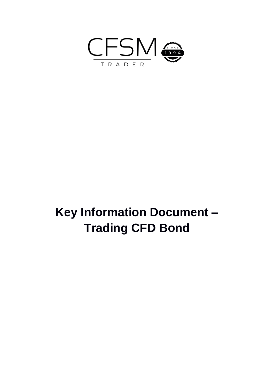

## **Key Information Document – Trading CFD Bond**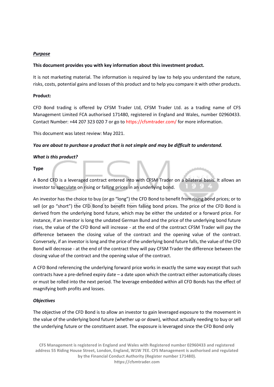#### *Purpose*

#### **This document provides you with key information about this investment product.**

It is not marketing material. The information is required by law to help you understand the nature, risks, costs, potential gains and losses of this product and to help you compare it with other products.

#### **Product:**

CFD Bond trading is offered by CFSM Trader Ltd, CFSM Trader Ltd. as a trading name of CFS Management Limited FCA authorised 171480, registered in England and Wales, number 02960433. Contact Number: +44 207 323 020 7 or go to https://cfsmtrader.com/ for more information.

This document was latest review: May 2021.

#### *You are about to purchase a product that is not simple and may be difficult to understand.*

#### *What is this product?*

#### **Type**

A Bond CFD is a leveraged contract entered into with CFSM Trader on a bilateral basis. It allows an investor to speculate on rising or falling prices in an underlying bond.

An investor has the choice to buy (or go "long") the CFD Bond to benefit from rising bond prices; or to sell (or go "short") the CFD Bond to benefit from falling bond prices. The price of the CFD Bond is derived from the underlying bond future, which may be either the undated or a forward price. For instance, if an investor is long the undated German Bund and the price of the underlying bond future rises, the value of the CFD Bond will increase - at the end of the contract CFSM Trader will pay the difference between the closing value of the contract and the opening value of the contract. Conversely, if an investor is long and the price of the underlying bond future falls, the value of the CFD Bond will decrease - at the end of the contract they will pay CFSM Trader the difference between the closing value of the contract and the opening value of the contract.

A CFD Bond referencing the underlying forward price works in exactly the same way except that such contracts have a pre-defined expiry date – a date upon which the contract either automatically closes or must be rolled into the next period. The leverage embedded within all CFD Bonds has the effect of magnifying both profits and losses.

#### *Objectives*

The objective of the CFD Bond is to allow an investor to gain leveraged exposure to the movement in the value of the underlying bond future (whether up or down), without actually needing to buy or sell the underlying future or the constituent asset. The exposure is leveraged since the CFD Bond only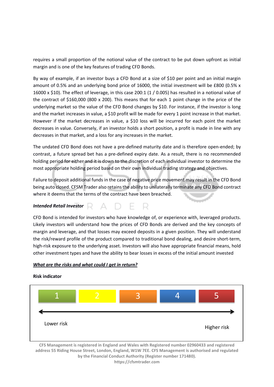requires a small proportion of the notional value of the contract to be put down upfront as initial margin and is one of the key features of trading CFD Bonds.

By way of example, if an investor buys a CFD Bond at a size of \$10 per point and an initial margin amount of 0.5% and an underlying bond price of 16000, the initial investment will be £800 (0.5% x 16000 x \$10). The effect of leverage, in this case 200:1 (1 / 0.005) has resulted in a notional value of the contract of \$160,000 (800 x 200). This means that for each 1 point change in the price of the underlying market so the value of the CFD Bond changes by \$10. For instance, if the investor is long and the market increases in value, a \$10 profit will be made for every 1 point increase in that market. However if the market decreases in value, a \$10 loss will be incurred for each point the market decreases in value. Conversely, if an investor holds a short position, a profit is made in line with any decreases in that market, and a loss for any increases in the market.

The undated CFD Bond does not have a pre-defined maturity date and is therefore open-ended; by contrast, a future spread bet has a pre-defined expiry date. As a result, there is no recommended holding period for either and it is down to the discretion of each individual investor to determine the most appropriate holding period based on their own individual trading strategy and objectives.

Failure to deposit additional funds in the case of negative price movement may result in the CFD Bond being auto closed. CFSM Trader also retains the ability to unilaterally terminate any CFD Bond contract where it deems that the terms of the contract have been breached.

#### *Intended Retail Investor*

CFD Bond is intended for investors who have knowledge of, or experience with, leveraged products. Likely investors will understand how the prices of CFD Bonds are derived and the key concepts of margin and leverage, and that losses may exceed deposits in a given position. They will understand the risk/reward profile of the product compared to traditional bond dealing, and desire short-term, high-risk exposure to the underlying asset. Investors will also have appropriate financial means, hold other investment types and have the ability to bear losses in excess of the initial amount invested

#### *What are the risks and what could I get in return?*



#### **Risk indicator**

**CFS Management is registered in England and Wales with Registered number 02960433 and registered address 55 Riding House Street, London, England, W1W 7EE. CFS Management is authorised and regulated by the Financial Conduct Authority (Register number 171480). https://cfsmtrader.com**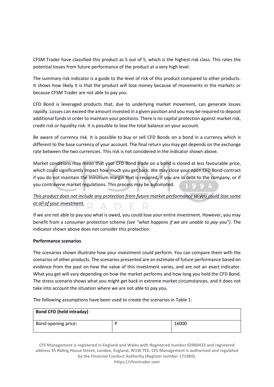CFSM Trader have classified this product as 5 out of 5, which is the highest risk class. This rates the potential losses from future performance of the product at a very high level.

The summary risk indicator is a guide to the level of risk of this product compared to other products. It shows how likely it is that the product will lose money because of movements in the markets or because CFSM Trader are not able to pay you.

CFD Bond is leveraged products that, due to underlying market movement, can generate losses rapidly. Losses can exceed the amount invested in a given position and you may be required to deposit additional funds in order to maintain your positions. There is no capital protection against market risk, credit risk or liquidity risk. It is possible to lose the total balance on your account.

Be aware of currency risk. It is possible to buy or sell CFD Bonds on a bond in a currency which is different to the base currency of your account. The final return you may get depends on the exchange rate between the two currencies. This risk is not considered in the indicator shown above.

Market conditions may mean that your CFD Bond trade on a bond is closed at less favourable price, which could significantly impact how much you get back. We may close your open CFD Bond contract if you do not maintain the minimum margin that is required, if you are in debt to the company, or if you contravene market regulations. This process may be automated.

### *This product does not include any protection from future market performance so you could lose some*  **<u>or all of your investment.</u>**  $R \triangle D \in R$

If we are not able to pay you what is owed, you could lose your entire investment. However, you may benefit from a consumer protection scheme *(see "what happens if we are unable to pay you")*. The indicator shown above does not consider this protection.

#### **Performance scenarios**

The scenarios shown illustrate how your investment could perform. You can compare them with the scenarios of other products. The scenarios presented are an estimate of future performance based on evidence from the past on how the value of this investment varies, and are not an exact indicator. What you get will vary depending on how the market performs and how long you hold the CFD Bond. The stress scenario shows what you might get back in extreme market circumstances, and it does not take into account the situation where we are not able to pay you.

The following assumptions have been used to create the scenarios in Table 1:

| <b>Bond CFD (held intraday)</b> |       |
|---------------------------------|-------|
| Bond opening price:             | 16000 |

**CFS Management is registered in England and Wales with Registered number 02960433 and registered address 55 Riding House Street, London, England, W1W 7EE. CFS Management is authorised and regulated by the Financial Conduct Authority (Register number 171480). https://cfsmtrader.com**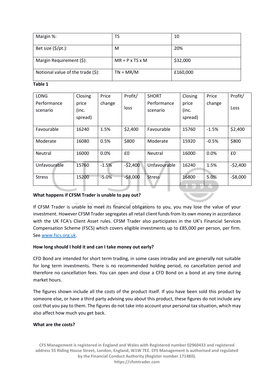| Margin %:                         | TS                          | 10       |
|-----------------------------------|-----------------------------|----------|
| Bet size $(\frac{5}{pt})$ :       | M                           | 20%      |
| Margin Requirement (\$):          | $MR = P \times TS \times M$ | \$32,000 |
| Notional value of the trade (\$): | $TN = MR/M$                 | £160,000 |

**Table 1**

| LONG           | Closing | Price   | Profit/   | <b>SHORT</b>   | Closing | Price   | Profit/   |
|----------------|---------|---------|-----------|----------------|---------|---------|-----------|
| Performance    | price   | change  |           | Performance    | price   | change  | Loss      |
| scenario       | (inc.   |         | loss      | scenario       | (inc.   |         |           |
|                | spread) |         |           |                | spread) |         |           |
|                |         |         |           |                |         |         |           |
| Favourable     | 16240   | 1.5%    | \$2,400   | Favourable     | 15760   | $-1.5%$ | \$2,400   |
| Moderate       | 16080   | 0.5%    | \$800     | Moderate       | 15920   | $-0.5%$ | \$800     |
| <b>Neutral</b> | 16000   | 0.0%    | £0        | <b>Neutral</b> | 16000   | 0.0%    | £0        |
| Unfavourable   | 15760   | $-1.5%$ | $-52,400$ | Unfavourable   | 16240   | 1.5%    | $-52,400$ |
| <b>Stress</b>  | 15200   | $-5.0%$ | $-58,000$ | <b>Stress</b>  | 16800   | 5.0%    | $-58,000$ |

#### **What happens if CFSM Trader is unable to pay out?**

If CFSM Trader is unable to meet its financial obligations to you, you may lose the value of your investment. However CFSM Trader segregates all retail client funds from its own money in accordance with the UK FCA's Client Asset rules. CFSM Trader also participates in the UK's Financial Services Compensation Scheme (FSCS) which covers eligible investments up to £85,000 per person, per firm. Se[e www.fscs.org.uk.](http://www.fscs.org.uk/)

#### **How long should I hold it and can I take money out early?**

CFD Bond are intended for short term trading, in some cases intraday and are generally not suitable for long term investments. There is no recommended holding period, no cancellation period and therefore no cancellation fees. You can open and close a CFD Bond on a bond at any time during market hours.

The figures shown include all the costs of the product itself. If you have been sold this product by someone else, or have a third party advising you about this product, these figures do not include any cost that you pay to them. The figures do not take into account your personal tax situation, which may also affect how much you get back.

#### **What are the costs?**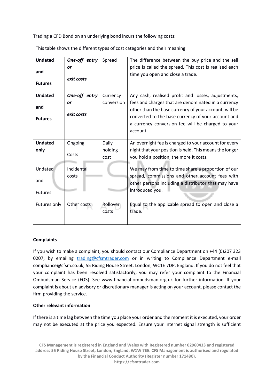Trading a CFD Bond on an underlying bond incurs the following costs:

|                |               |            | This table shows the unferent types or cost categories and their meaning |
|----------------|---------------|------------|--------------------------------------------------------------------------|
| <b>Undated</b> | One-off entry | Spread     | The difference between the buy price and the sell                        |
|                | or            |            | price is called the spread. This cost is realised each                   |
| and            |               |            | time you open and close a trade.                                         |
| <b>Futures</b> | exit costs    |            |                                                                          |
| <b>Undated</b> | One-off entry | Currency   | Any cash, realised profit and losses, adjustments,                       |
|                | or            | conversion | fees and charges that are denominated in a currency                      |
| and            |               |            | other than the base currency of your account, will be                    |
| <b>Futures</b> | exit costs    |            | converted to the base currency of your account and                       |
|                |               |            | a currency conversion fee will be charged to your                        |
|                |               |            | account.                                                                 |
| <b>Undated</b> | Ongoing       | Daily      | An overnight fee is charged to your account for every                    |
| only           |               | holding    | night that your position is held. This means the longer                  |
|                | Costs         |            | you hold a position, the more it costs.                                  |
|                |               | cost       |                                                                          |
| Undated        | Incidental    |            | We may from time to time share a proportion of our                       |
|                | costs         |            | spread, commissions and other account fees with                          |
| and            |               |            | other persons including a distributor that may have                      |
| <b>Futures</b> |               |            | introduced you.                                                          |
|                |               |            |                                                                          |
| Futures only   | Other costs   | Rollover   | Equal to the applicable spread to open and close a                       |
|                |               | costs      | trade.                                                                   |
|                |               |            |                                                                          |

This table shows the different types of cost categories and their meaning

#### **Complaints**

If you wish to make a complaint, you should contact our Compliance Department on +44 (0)207 323 0207, by emailing [trading@cfsmtrader.com](mailto:trading@cfsmtrader.com) or in writing to Compliance Department e-mail compliance@cfsm.co.uk, 55 Riding House Street, London, WC1E 7DP, England. If you do not feel that your complaint has been resolved satisfactorily, you may refer your complaint to the Financial Ombudsman Service (FOS). See www.financial-ombudsman.org.uk for further information. If your complaint is about an advisory or discretionary manager is acting on your account, please contact the firm providing the service.

#### **Other relevant information**

If there is a time lag between the time you place your order and the moment it is executed, your order may not be executed at the price you expected. Ensure your internet signal strength is sufficient